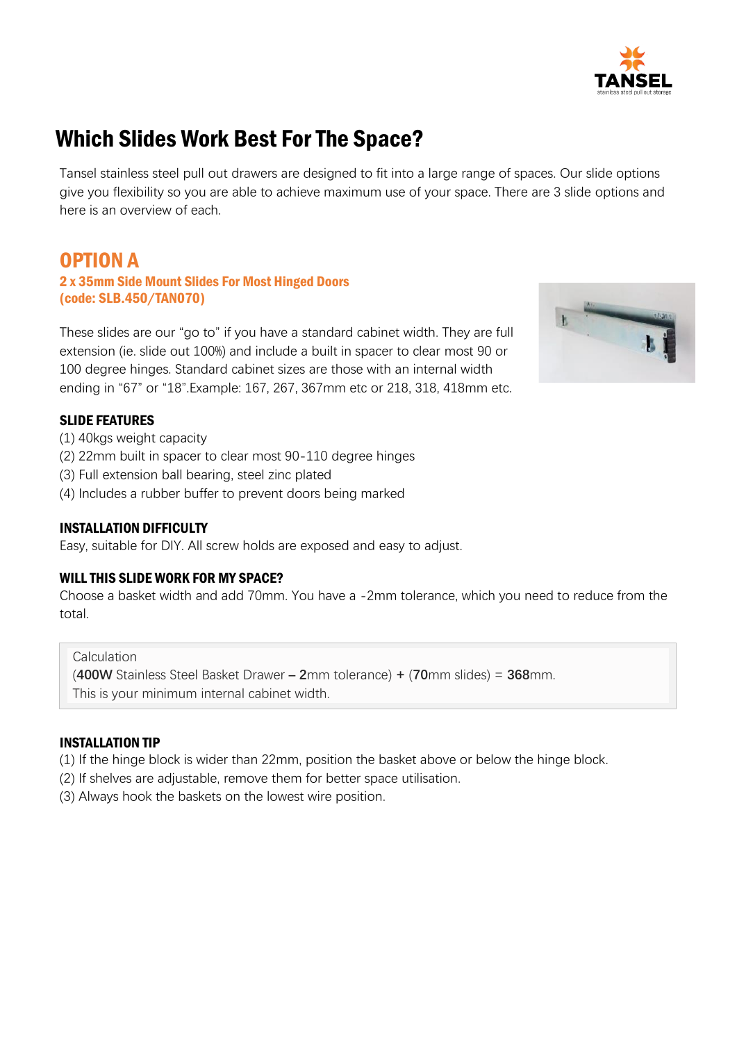

# Which Slides Work Best For The Space?

Tansel stainless steel pull out drawers are designed to fit into a large range of spaces. Our slide options give you flexibility so you are able to achieve maximum use of your space. There are 3 slide options and here is an overview of each.

# OPTION A

#### 2 x 35mm Side Mount Slides For Most Hinged Doors (code: SLB.450/TAN070)

These slides are our "go to" if you have a standard cabinet width. They are full extension (ie. slide out 100%) and include a built in spacer to clear most 90 or 100 degree hinges. Standard cabinet sizes are those with an internal width ending in "67" or "18".Example: 167, 267, 367mm etc or 218, 318, 418mm etc.



### SLIDE FEATURES

- (1) 40kgs weight capacity
- (2) 22mm built in spacer to clear most 90-110 degree hinges
- (3) Full extension ball bearing, steel zinc plated
- (4) Includes a rubber buffer to prevent doors being marked

#### INSTALLATION DIFFICULTY

Easy, suitable for DIY. All screw holds are exposed and easy to adjust.

#### WILL THIS SLIDE WORK FOR MY SPACE?

Choose a basket width and add 70mm. You have a -2mm tolerance, which you need to reduce from the total.

Calculation

(**400W** Stainless Steel Basket Drawer **– 2**mm tolerance) **+** (**70**mm slides) = **368**mm. This is your minimum internal cabinet width.

#### INSTALLATION TIP

(1) If the hinge block is wider than 22mm, position the basket above or below the hinge block.

(2) If shelves are adjustable, remove them for better space utilisation.

(3) Always hook the baskets on the lowest wire position.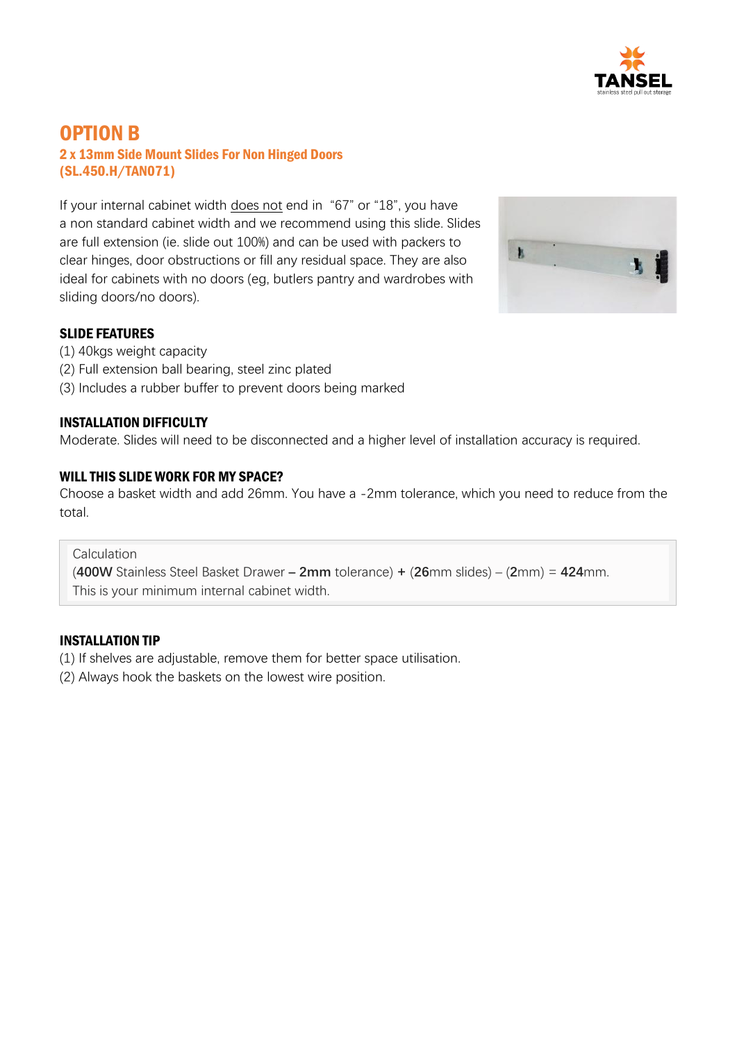

# OPTION B 2 x 13mm Side Mount Slides For Non Hinged Doors (SL.450.H/TAN071)

If your internal cabinet width does not end in "67" or "18", you have a non standard cabinet width and we recommend using this slide. Slides are full extension (ie. slide out 100%) and can be used with packers to clear hinges, door obstructions or fill any residual space. They are also ideal for cabinets with no doors (eg, butlers pantry and wardrobes with sliding doors/no doors).



#### SLIDE FEATURES

- (1) 40kgs weight capacity
- (2) Full extension ball bearing, steel zinc plated
- (3) Includes a rubber buffer to prevent doors being marked

#### INSTALLATION DIFFICULTY

Moderate. Slides will need to be disconnected and a higher level of installation accuracy is required.

#### WILL THIS SLIDE WORK FOR MY SPACE?

Choose a basket width and add 26mm. You have a -2mm tolerance, which you need to reduce from the total.

#### Calculation

(**400W** Stainless Steel Basket Drawer **– 2mm** tolerance) **+** (**26**mm slides) – (**2**mm) = **424**mm. This is your minimum internal cabinet width.

#### INSTALLATION TIP

- (1) If shelves are adjustable, remove them for better space utilisation.
- (2) Always hook the baskets on the lowest wire position.